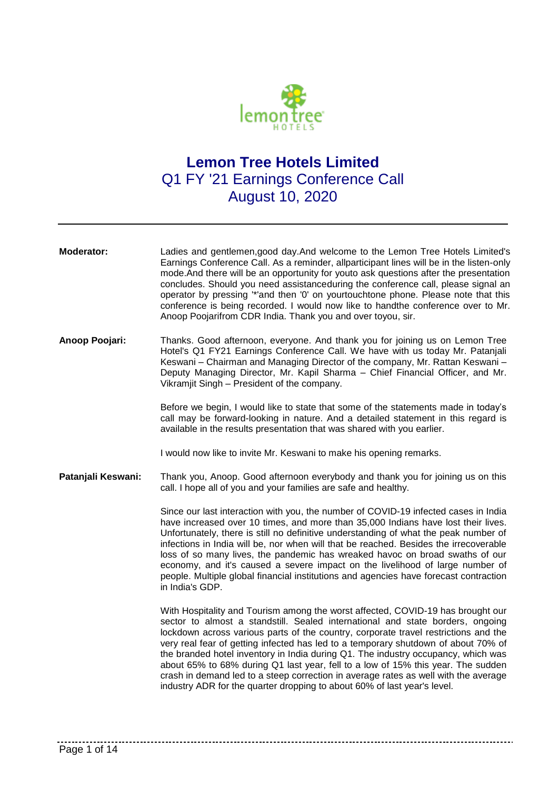

## **Lemon Tree Hotels Limited**  Q1 FY '21 Earnings Conference Call August 10, 2020

| <b>Moderator:</b>  | Ladies and gentlemen, good day. And welcome to the Lemon Tree Hotels Limited's<br>Earnings Conference Call. As a reminder, allparticipant lines will be in the listen-only<br>mode. And there will be an opportunity for youto ask questions after the presentation<br>concludes. Should you need assistanceduring the conference call, please signal an<br>operator by pressing "*'and then '0' on yourtouchtone phone. Please note that this<br>conference is being recorded. I would now like to handthe conference over to Mr.<br>Anoop Poojarifrom CDR India. Thank you and over toyou, sir.                                                                                          |
|--------------------|--------------------------------------------------------------------------------------------------------------------------------------------------------------------------------------------------------------------------------------------------------------------------------------------------------------------------------------------------------------------------------------------------------------------------------------------------------------------------------------------------------------------------------------------------------------------------------------------------------------------------------------------------------------------------------------------|
| Anoop Poojari:     | Thanks. Good afternoon, everyone. And thank you for joining us on Lemon Tree<br>Hotel's Q1 FY21 Earnings Conference Call. We have with us today Mr. Patanjali<br>Keswani - Chairman and Managing Director of the company, Mr. Rattan Keswani -<br>Deputy Managing Director, Mr. Kapil Sharma - Chief Financial Officer, and Mr.<br>Vikramjit Singh - President of the company.                                                                                                                                                                                                                                                                                                             |
|                    | Before we begin, I would like to state that some of the statements made in today's<br>call may be forward-looking in nature. And a detailed statement in this regard is<br>available in the results presentation that was shared with you earlier.                                                                                                                                                                                                                                                                                                                                                                                                                                         |
|                    | I would now like to invite Mr. Keswani to make his opening remarks.                                                                                                                                                                                                                                                                                                                                                                                                                                                                                                                                                                                                                        |
| Patanjali Keswani: | Thank you, Anoop. Good afternoon everybody and thank you for joining us on this<br>call. I hope all of you and your families are safe and healthy.                                                                                                                                                                                                                                                                                                                                                                                                                                                                                                                                         |
|                    | Since our last interaction with you, the number of COVID-19 infected cases in India<br>have increased over 10 times, and more than 35,000 Indians have lost their lives.<br>Unfortunately, there is still no definitive understanding of what the peak number of<br>infections in India will be, nor when will that be reached. Besides the irrecoverable<br>loss of so many lives, the pandemic has wreaked havoc on broad swaths of our<br>economy, and it's caused a severe impact on the livelihood of large number of<br>people. Multiple global financial institutions and agencies have forecast contraction<br>in India's GDP.                                                     |
|                    | With Hospitality and Tourism among the worst affected, COVID-19 has brought our<br>sector to almost a standstill. Sealed international and state borders, ongoing<br>lockdown across various parts of the country, corporate travel restrictions and the<br>very real fear of getting infected has led to a temporary shutdown of about 70% of<br>the branded hotel inventory in India during Q1. The industry occupancy, which was<br>about 65% to 68% during Q1 last year, fell to a low of 15% this year. The sudden<br>crash in demand led to a steep correction in average rates as well with the average<br>industry ADR for the quarter dropping to about 60% of last year's level. |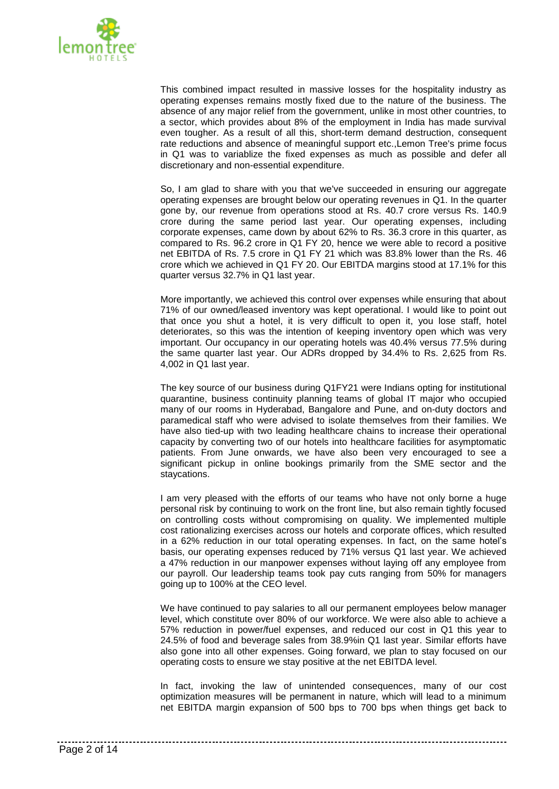

This combined impact resulted in massive losses for the hospitality industry as operating expenses remains mostly fixed due to the nature of the business. The absence of any major relief from the government, unlike in most other countries, to a sector, which provides about 8% of the employment in India has made survival even tougher. As a result of all this, short-term demand destruction, consequent rate reductions and absence of meaningful support etc.,Lemon Tree's prime focus in Q1 was to variablize the fixed expenses as much as possible and defer all discretionary and non-essential expenditure.

So, I am glad to share with you that we've succeeded in ensuring our aggregate operating expenses are brought below our operating revenues in Q1. In the quarter gone by, our revenue from operations stood at Rs. 40.7 crore versus Rs. 140.9 crore during the same period last year. Our operating expenses, including corporate expenses, came down by about 62% to Rs. 36.3 crore in this quarter, as compared to Rs. 96.2 crore in Q1 FY 20, hence we were able to record a positive net EBITDA of Rs. 7.5 crore in Q1 FY 21 which was 83.8% lower than the Rs. 46 crore which we achieved in Q1 FY 20. Our EBITDA margins stood at 17.1% for this quarter versus 32.7% in Q1 last year.

More importantly, we achieved this control over expenses while ensuring that about 71% of our owned/leased inventory was kept operational. I would like to point out that once you shut a hotel, it is very difficult to open it, you lose staff, hotel deteriorates, so this was the intention of keeping inventory open which was very important. Our occupancy in our operating hotels was 40.4% versus 77.5% during the same quarter last year. Our ADRs dropped by 34.4% to Rs. 2,625 from Rs. 4,002 in Q1 last year.

The key source of our business during Q1FY21 were Indians opting for institutional quarantine, business continuity planning teams of global IT major who occupied many of our rooms in Hyderabad, Bangalore and Pune, and on-duty doctors and paramedical staff who were advised to isolate themselves from their families. We have also tied-up with two leading healthcare chains to increase their operational capacity by converting two of our hotels into healthcare facilities for asymptomatic patients. From June onwards, we have also been very encouraged to see a significant pickup in online bookings primarily from the SME sector and the staycations.

I am very pleased with the efforts of our teams who have not only borne a huge personal risk by continuing to work on the front line, but also remain tightly focused on controlling costs without compromising on quality. We implemented multiple cost rationalizing exercises across our hotels and corporate offices, which resulted in a 62% reduction in our total operating expenses. In fact, on the same hotel's basis, our operating expenses reduced by 71% versus Q1 last year. We achieved a 47% reduction in our manpower expenses without laying off any employee from our payroll. Our leadership teams took pay cuts ranging from 50% for managers going up to 100% at the CEO level.

We have continued to pay salaries to all our permanent employees below manager level, which constitute over 80% of our workforce. We were also able to achieve a 57% reduction in power/fuel expenses, and reduced our cost in Q1 this year to 24.5% of food and beverage sales from 38.9%in Q1 last year. Similar efforts have also gone into all other expenses. Going forward, we plan to stay focused on our operating costs to ensure we stay positive at the net EBITDA level.

In fact, invoking the law of unintended consequences, many of our cost optimization measures will be permanent in nature, which will lead to a minimum net EBITDA margin expansion of 500 bps to 700 bps when things get back to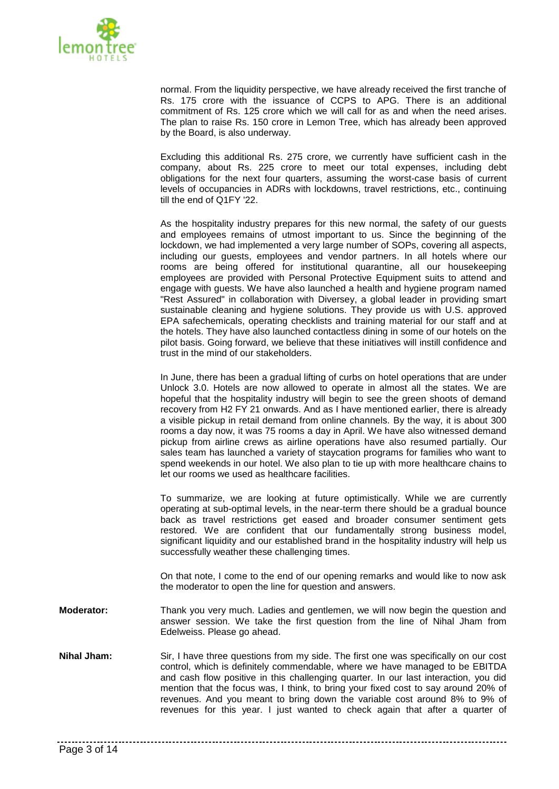

normal. From the liquidity perspective, we have already received the first tranche of Rs. 175 crore with the issuance of CCPS to APG. There is an additional commitment of Rs. 125 crore which we will call for as and when the need arises. The plan to raise Rs. 150 crore in Lemon Tree, which has already been approved by the Board, is also underway.

Excluding this additional Rs. 275 crore, we currently have sufficient cash in the company, about Rs. 225 crore to meet our total expenses, including debt obligations for the next four quarters, assuming the worst-case basis of current levels of occupancies in ADRs with lockdowns, travel restrictions, etc., continuing till the end of Q1FY '22.

As the hospitality industry prepares for this new normal, the safety of our guests and employees remains of utmost important to us. Since the beginning of the lockdown, we had implemented a very large number of SOPs, covering all aspects, including our guests, employees and vendor partners. In all hotels where our rooms are being offered for institutional quarantine, all our housekeeping employees are provided with Personal Protective Equipment suits to attend and engage with guests. We have also launched a health and hygiene program named "Rest Assured" in collaboration with Diversey, a global leader in providing smart sustainable cleaning and hygiene solutions. They provide us with U.S. approved EPA safechemicals, operating checklists and training material for our staff and at the hotels. They have also launched contactless dining in some of our hotels on the pilot basis. Going forward, we believe that these initiatives will instill confidence and trust in the mind of our stakeholders.

In June, there has been a gradual lifting of curbs on hotel operations that are under Unlock 3.0. Hotels are now allowed to operate in almost all the states. We are hopeful that the hospitality industry will begin to see the green shoots of demand recovery from H2 FY 21 onwards. And as I have mentioned earlier, there is already a visible pickup in retail demand from online channels. By the way, it is about 300 rooms a day now, it was 75 rooms a day in April. We have also witnessed demand pickup from airline crews as airline operations have also resumed partially. Our sales team has launched a variety of staycation programs for families who want to spend weekends in our hotel. We also plan to tie up with more healthcare chains to let our rooms we used as healthcare facilities.

To summarize, we are looking at future optimistically. While we are currently operating at sub-optimal levels, in the near-term there should be a gradual bounce back as travel restrictions get eased and broader consumer sentiment gets restored. We are confident that our fundamentally strong business model, significant liquidity and our established brand in the hospitality industry will help us successfully weather these challenging times.

On that note, I come to the end of our opening remarks and would like to now ask the moderator to open the line for question and answers.

- **Moderator:** Thank you very much. Ladies and gentlemen, we will now begin the question and answer session. We take the first question from the line of Nihal Jham from Edelweiss. Please go ahead.
- **Nihal Jham:** Sir, I have three questions from my side. The first one was specifically on our cost control, which is definitely commendable, where we have managed to be EBITDA and cash flow positive in this challenging quarter. In our last interaction, you did mention that the focus was, I think, to bring your fixed cost to say around 20% of revenues. And you meant to bring down the variable cost around 8% to 9% of revenues for this year. I just wanted to check again that after a quarter of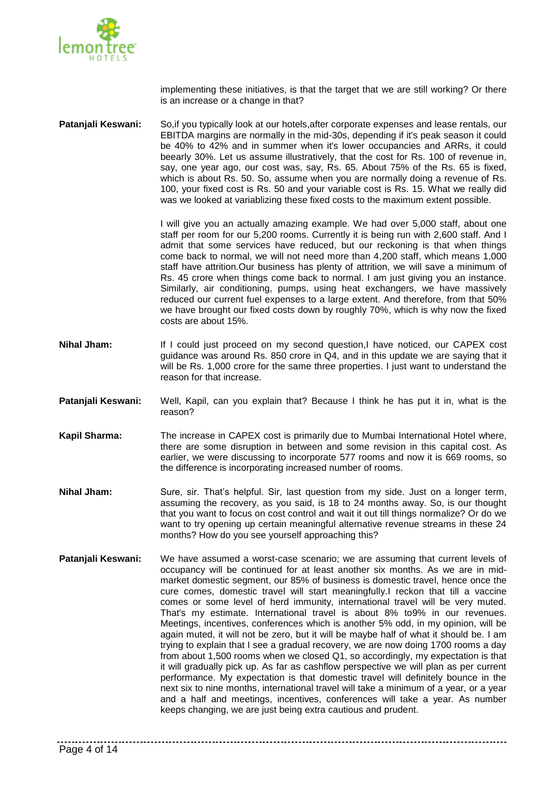

implementing these initiatives, is that the target that we are still working? Or there is an increase or a change in that?

**Patanjali Keswani:** So,if you typically look at our hotels,after corporate expenses and lease rentals, our EBITDA margins are normally in the mid-30s, depending if it's peak season it could be 40% to 42% and in summer when it's lower occupancies and ARRs, it could beearly 30%. Let us assume illustratively, that the cost for Rs. 100 of revenue in, say, one year ago, our cost was, say, Rs. 65. About 75% of the Rs. 65 is fixed, which is about Rs. 50. So, assume when you are normally doing a revenue of Rs. 100, your fixed cost is Rs. 50 and your variable cost is Rs. 15. What we really did was we looked at variablizing these fixed costs to the maximum extent possible.

> I will give you an actually amazing example. We had over 5,000 staff, about one staff per room for our 5,200 rooms. Currently it is being run with 2,600 staff. And I admit that some services have reduced, but our reckoning is that when things come back to normal, we will not need more than 4,200 staff, which means 1,000 staff have attrition.Our business has plenty of attrition, we will save a minimum of Rs. 45 crore when things come back to normal. I am just giving you an instance. Similarly, air conditioning, pumps, using heat exchangers, we have massively reduced our current fuel expenses to a large extent. And therefore, from that 50% we have brought our fixed costs down by roughly 70%, which is why now the fixed costs are about 15%.

- **Nihal Jham:** If I could just proceed on my second question,I have noticed, our CAPEX cost guidance was around Rs. 850 crore in Q4, and in this update we are saying that it will be Rs. 1,000 crore for the same three properties. I just want to understand the reason for that increase.
- **Patanjali Keswani:** Well, Kapil, can you explain that? Because I think he has put it in, what is the reason?
- **Kapil Sharma:** The increase in CAPEX cost is primarily due to Mumbai International Hotel where, there are some disruption in between and some revision in this capital cost. As earlier, we were discussing to incorporate 577 rooms and now it is 669 rooms, so the difference is incorporating increased number of rooms.
- **Nihal Jham:** Sure, sir. That's helpful. Sir, last question from my side. Just on a longer term, assuming the recovery, as you said, is 18 to 24 months away. So, is our thought that you want to focus on cost control and wait it out till things normalize? Or do we want to try opening up certain meaningful alternative revenue streams in these 24 months? How do you see yourself approaching this?
- **Patanjali Keswani:** We have assumed a worst-case scenario; we are assuming that current levels of occupancy will be continued for at least another six months. As we are in midmarket domestic segment, our 85% of business is domestic travel, hence once the cure comes, domestic travel will start meaningfully.I reckon that till a vaccine comes or some level of herd immunity, international travel will be very muted. That's my estimate. International travel is about 8% to9% in our revenues. Meetings, incentives, conferences which is another 5% odd, in my opinion, will be again muted, it will not be zero, but it will be maybe half of what it should be. I am trying to explain that I see a gradual recovery, we are now doing 1700 rooms a day from about 1,500 rooms when we closed Q1, so accordingly, my expectation is that it will gradually pick up. As far as cashflow perspective we will plan as per current performance. My expectation is that domestic travel will definitely bounce in the next six to nine months, international travel will take a minimum of a year, or a year and a half and meetings, incentives, conferences will take a year. As number keeps changing, we are just being extra cautious and prudent.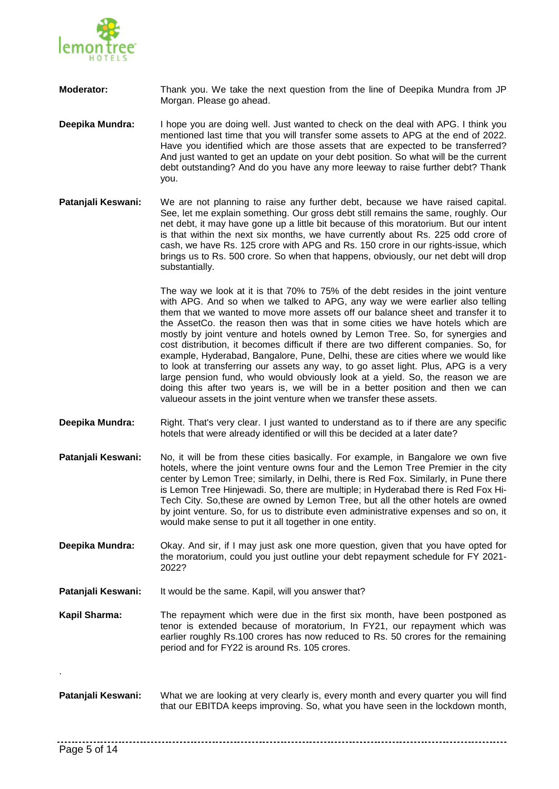

- **Moderator:** Thank you. We take the next question from the line of Deepika Mundra from JP Morgan. Please go ahead.
- **Deepika Mundra:** I hope you are doing well. Just wanted to check on the deal with APG. I think you mentioned last time that you will transfer some assets to APG at the end of 2022. Have you identified which are those assets that are expected to be transferred? And just wanted to get an update on your debt position. So what will be the current debt outstanding? And do you have any more leeway to raise further debt? Thank you.
- **Patanjali Keswani:** We are not planning to raise any further debt, because we have raised capital. See, let me explain something. Our gross debt still remains the same, roughly. Our net debt, it may have gone up a little bit because of this moratorium. But our intent is that within the next six months, we have currently about Rs. 225 odd crore of cash, we have Rs. 125 crore with APG and Rs. 150 crore in our rights-issue, which brings us to Rs. 500 crore. So when that happens, obviously, our net debt will drop substantially.

The way we look at it is that 70% to 75% of the debt resides in the joint venture with APG. And so when we talked to APG, any way we were earlier also telling them that we wanted to move more assets off our balance sheet and transfer it to the AssetCo. the reason then was that in some cities we have hotels which are mostly by joint venture and hotels owned by Lemon Tree. So, for synergies and cost distribution, it becomes difficult if there are two different companies. So, for example, Hyderabad, Bangalore, Pune, Delhi, these are cities where we would like to look at transferring our assets any way, to go asset light. Plus, APG is a very large pension fund, who would obviously look at a yield. So, the reason we are doing this after two years is, we will be in a better position and then we can valueour assets in the joint venture when we transfer these assets.

- **Deepika Mundra:** Right. That's very clear. I just wanted to understand as to if there are any specific hotels that were already identified or will this be decided at a later date?
- **Patanjali Keswani:** No, it will be from these cities basically. For example, in Bangalore we own five hotels, where the joint venture owns four and the Lemon Tree Premier in the city center by Lemon Tree; similarly, in Delhi, there is Red Fox. Similarly, in Pune there is Lemon Tree Hinjewadi. So, there are multiple; in Hyderabad there is Red Fox Hi-Tech City. So,these are owned by Lemon Tree, but all the other hotels are owned by joint venture. So, for us to distribute even administrative expenses and so on, it would make sense to put it all together in one entity.
- **Deepika Mundra:** Okay. And sir, if I may just ask one more question, given that you have opted for the moratorium, could you just outline your debt repayment schedule for FY 2021- 2022?
- **Patanjali Keswani:** It would be the same. Kapil, will you answer that?

**Kapil Sharma:** The repayment which were due in the first six month, have been postponed as tenor is extended because of moratorium, In FY21, our repayment which was earlier roughly Rs.100 crores has now reduced to Rs. 50 crores for the remaining period and for FY22 is around Rs. 105 crores.

**Patanjali Keswani:** What we are looking at very clearly is, every month and every quarter you will find that our EBITDA keeps improving. So, what you have seen in the lockdown month,

.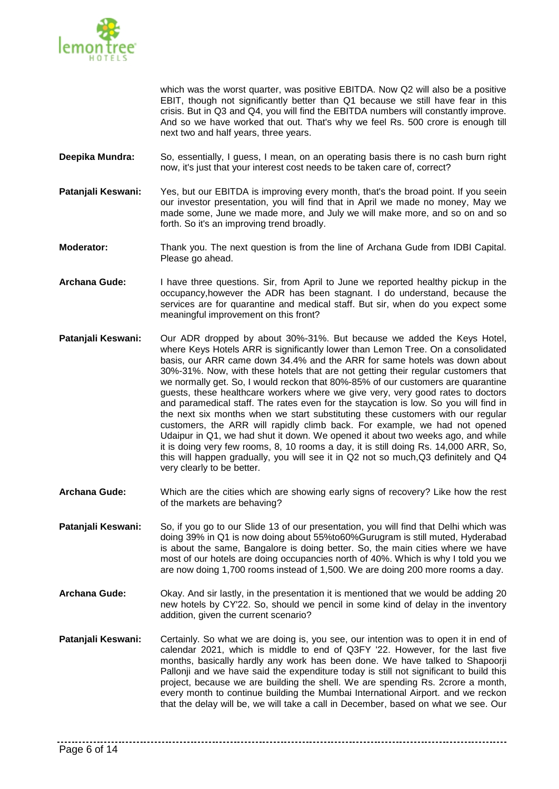

which was the worst quarter, was positive EBITDA. Now Q2 will also be a positive EBIT, though not significantly better than Q1 because we still have fear in this crisis. But in Q3 and Q4, you will find the EBITDA numbers will constantly improve. And so we have worked that out. That's why we feel Rs. 500 crore is enough till next two and half years, three years.

- **Deepika Mundra:** So, essentially, I guess, I mean, on an operating basis there is no cash burn right now, it's just that your interest cost needs to be taken care of, correct?
- **Patanjali Keswani:** Yes, but our EBITDA is improving every month, that's the broad point. If you seein our investor presentation, you will find that in April we made no money, May we made some, June we made more, and July we will make more, and so on and so forth. So it's an improving trend broadly.

**Moderator:** Thank you. The next question is from the line of Archana Gude from IDBI Capital. Please go ahead.

- **Archana Gude:** I have three questions. Sir, from April to June we reported healthy pickup in the occupancy,however the ADR has been stagnant. I do understand, because the services are for quarantine and medical staff. But sir, when do you expect some meaningful improvement on this front?
- Patanjali Keswani: Our ADR dropped by about 30%-31%. But because we added the Keys Hotel, where Keys Hotels ARR is significantly lower than Lemon Tree. On a consolidated basis, our ARR came down 34.4% and the ARR for same hotels was down about 30%-31%. Now, with these hotels that are not getting their regular customers that we normally get. So, I would reckon that 80%-85% of our customers are quarantine guests, these healthcare workers where we give very, very good rates to doctors and paramedical staff. The rates even for the staycation is low. So you will find in the next six months when we start substituting these customers with our regular customers, the ARR will rapidly climb back. For example, we had not opened Udaipur in Q1, we had shut it down. We opened it about two weeks ago, and while it is doing very few rooms, 8, 10 rooms a day, it is still doing Rs. 14,000 ARR, So, this will happen gradually, you will see it in Q2 not so much,Q3 definitely and Q4 very clearly to be better.
- **Archana Gude:** Which are the cities which are showing early signs of recovery? Like how the rest of the markets are behaving?
- **Patanjali Keswani:** So, if you go to our Slide 13 of our presentation, you will find that Delhi which was doing 39% in Q1 is now doing about 55%to60%Gurugram is still muted, Hyderabad is about the same, Bangalore is doing better. So, the main cities where we have most of our hotels are doing occupancies north of 40%. Which is why I told you we are now doing 1,700 rooms instead of 1,500. We are doing 200 more rooms a day.
- **Archana Gude:** Okay. And sir lastly, in the presentation it is mentioned that we would be adding 20 new hotels by CY'22. So, should we pencil in some kind of delay in the inventory addition, given the current scenario?
- **Patanjali Keswani:** Certainly. So what we are doing is, you see, our intention was to open it in end of calendar 2021, which is middle to end of Q3FY '22. However, for the last five months, basically hardly any work has been done. We have talked to Shapoorji Pallonji and we have said the expenditure today is still not significant to build this project, because we are building the shell. We are spending Rs. 2crore a month, every month to continue building the Mumbai International Airport. and we reckon that the delay will be, we will take a call in December, based on what we see. Our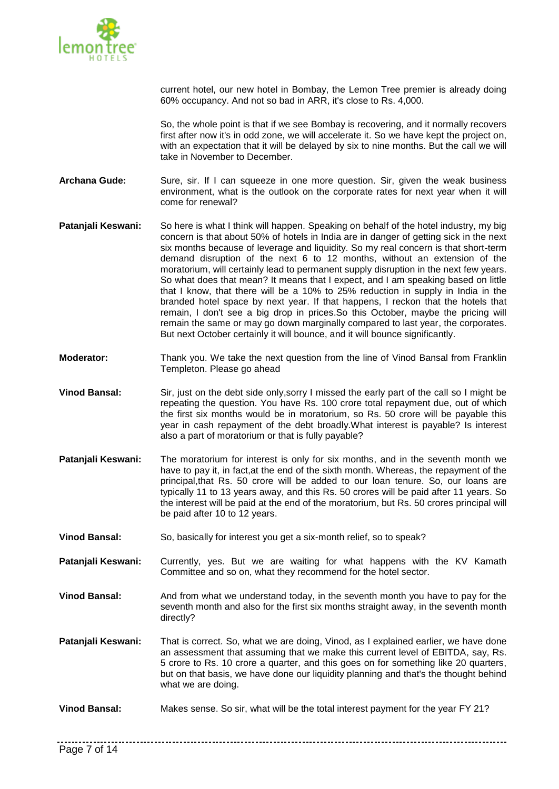

current hotel, our new hotel in Bombay, the Lemon Tree premier is already doing 60% occupancy. And not so bad in ARR, it's close to Rs. 4,000.

So, the whole point is that if we see Bombay is recovering, and it normally recovers first after now it's in odd zone, we will accelerate it. So we have kept the project on, with an expectation that it will be delayed by six to nine months. But the call we will take in November to December.

- **Archana Gude:** Sure, sir. If I can squeeze in one more question. Sir, given the weak business environment, what is the outlook on the corporate rates for next year when it will come for renewal?
- **Patanjali Keswani:** So here is what I think will happen. Speaking on behalf of the hotel industry, my big concern is that about 50% of hotels in India are in danger of getting sick in the next six months because of leverage and liquidity. So my real concern is that short-term demand disruption of the next 6 to 12 months, without an extension of the moratorium, will certainly lead to permanent supply disruption in the next few years. So what does that mean? It means that I expect, and I am speaking based on little that I know, that there will be a 10% to 25% reduction in supply in India in the branded hotel space by next year. If that happens, I reckon that the hotels that remain, I don't see a big drop in prices.So this October, maybe the pricing will remain the same or may go down marginally compared to last year, the corporates. But next October certainly it will bounce, and it will bounce significantly.
- **Moderator:** Thank you. We take the next question from the line of Vinod Bansal from Franklin Templeton. Please go ahead
- **Vinod Bansal:** Sir, just on the debt side only,sorry I missed the early part of the call so I might be repeating the question. You have Rs. 100 crore total repayment due, out of which the first six months would be in moratorium, so Rs. 50 crore will be payable this year in cash repayment of the debt broadly.What interest is payable? Is interest also a part of moratorium or that is fully payable?
- **Patanjali Keswani:** The moratorium for interest is only for six months, and in the seventh month we have to pay it, in fact,at the end of the sixth month. Whereas, the repayment of the principal,that Rs. 50 crore will be added to our loan tenure. So, our loans are typically 11 to 13 years away, and this Rs. 50 crores will be paid after 11 years. So the interest will be paid at the end of the moratorium, but Rs. 50 crores principal will be paid after 10 to 12 years.
- **Vinod Bansal:** So, basically for interest you get a six-month relief, so to speak?
- Patanjali Keswani: Currently, yes. But we are waiting for what happens with the KV Kamath Committee and so on, what they recommend for the hotel sector.
- **Vinod Bansal:** And from what we understand today, in the seventh month you have to pay for the seventh month and also for the first six months straight away, in the seventh month directly?
- **Patanjali Keswani:** That is correct. So, what we are doing, Vinod, as I explained earlier, we have done an assessment that assuming that we make this current level of EBITDA, say, Rs. 5 crore to Rs. 10 crore a quarter, and this goes on for something like 20 quarters, but on that basis, we have done our liquidity planning and that's the thought behind what we are doing.
- **Vinod Bansal:** Makes sense. So sir, what will be the total interest payment for the year FY 21?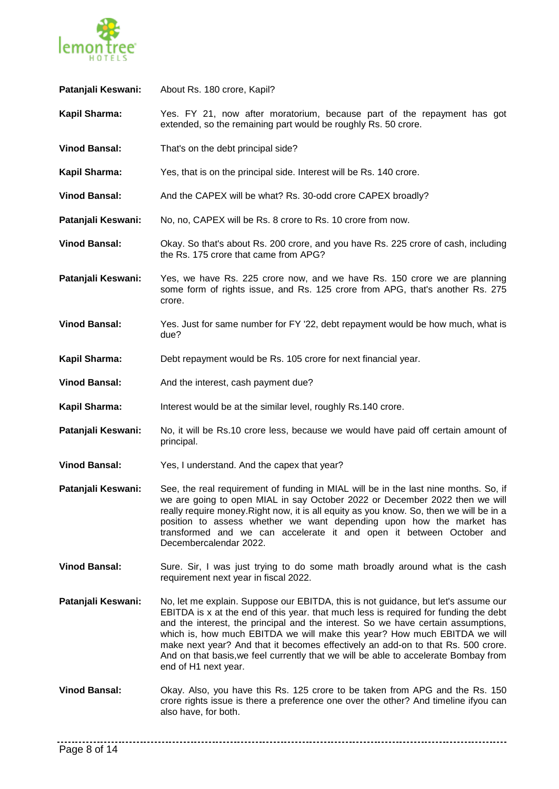

| Patanjali Keswani:   | About Rs. 180 crore, Kapil?                                                                                                                                                                                                                                                                                                                                                                                                                                                                                                                     |
|----------------------|-------------------------------------------------------------------------------------------------------------------------------------------------------------------------------------------------------------------------------------------------------------------------------------------------------------------------------------------------------------------------------------------------------------------------------------------------------------------------------------------------------------------------------------------------|
| Kapil Sharma:        | Yes. FY 21, now after moratorium, because part of the repayment has got<br>extended, so the remaining part would be roughly Rs. 50 crore.                                                                                                                                                                                                                                                                                                                                                                                                       |
| <b>Vinod Bansal:</b> | That's on the debt principal side?                                                                                                                                                                                                                                                                                                                                                                                                                                                                                                              |
| Kapil Sharma:        | Yes, that is on the principal side. Interest will be Rs. 140 crore.                                                                                                                                                                                                                                                                                                                                                                                                                                                                             |
| <b>Vinod Bansal:</b> | And the CAPEX will be what? Rs. 30-odd crore CAPEX broadly?                                                                                                                                                                                                                                                                                                                                                                                                                                                                                     |
| Patanjali Keswani:   | No, no, CAPEX will be Rs. 8 crore to Rs. 10 crore from now.                                                                                                                                                                                                                                                                                                                                                                                                                                                                                     |
| <b>Vinod Bansal:</b> | Okay. So that's about Rs. 200 crore, and you have Rs. 225 crore of cash, including<br>the Rs. 175 crore that came from APG?                                                                                                                                                                                                                                                                                                                                                                                                                     |
| Patanjali Keswani:   | Yes, we have Rs. 225 crore now, and we have Rs. 150 crore we are planning<br>some form of rights issue, and Rs. 125 crore from APG, that's another Rs. 275<br>crore.                                                                                                                                                                                                                                                                                                                                                                            |
| <b>Vinod Bansal:</b> | Yes. Just for same number for FY '22, debt repayment would be how much, what is<br>due?                                                                                                                                                                                                                                                                                                                                                                                                                                                         |
| Kapil Sharma:        | Debt repayment would be Rs. 105 crore for next financial year.                                                                                                                                                                                                                                                                                                                                                                                                                                                                                  |
| <b>Vinod Bansal:</b> | And the interest, cash payment due?                                                                                                                                                                                                                                                                                                                                                                                                                                                                                                             |
| Kapil Sharma:        | Interest would be at the similar level, roughly Rs.140 crore.                                                                                                                                                                                                                                                                                                                                                                                                                                                                                   |
| Patanjali Keswani:   | No, it will be Rs.10 crore less, because we would have paid off certain amount of<br>principal.                                                                                                                                                                                                                                                                                                                                                                                                                                                 |
| <b>Vinod Bansal:</b> | Yes, I understand. And the capex that year?                                                                                                                                                                                                                                                                                                                                                                                                                                                                                                     |
| Patanjali Keswani:   | See, the real requirement of funding in MIAL will be in the last nine months. So, if<br>we are going to open MIAL in say October 2022 or December 2022 then we will<br>really require money. Right now, it is all equity as you know. So, then we will be in a<br>position to assess whether we want depending upon how the market has<br>transformed and we can accelerate it and open it between October and<br>Decembercalendar 2022.                                                                                                        |
| <b>Vinod Bansal:</b> | Sure. Sir, I was just trying to do some math broadly around what is the cash<br>requirement next year in fiscal 2022.                                                                                                                                                                                                                                                                                                                                                                                                                           |
| Patanjali Keswani:   | No, let me explain. Suppose our EBITDA, this is not guidance, but let's assume our<br>EBITDA is x at the end of this year. that much less is required for funding the debt<br>and the interest, the principal and the interest. So we have certain assumptions,<br>which is, how much EBITDA we will make this year? How much EBITDA we will<br>make next year? And that it becomes effectively an add-on to that Rs. 500 crore.<br>And on that basis, we feel currently that we will be able to accelerate Bombay from<br>end of H1 next year. |
| <b>Vinod Bansal:</b> | Okay. Also, you have this Rs. 125 crore to be taken from APG and the Rs. 150<br>crore rights issue is there a preference one over the other? And timeline ifyou can<br>also have, for both.                                                                                                                                                                                                                                                                                                                                                     |

------------------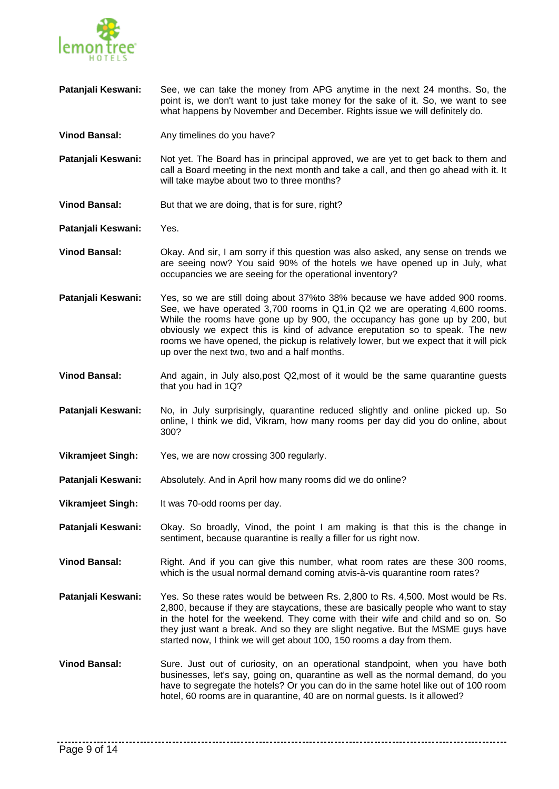

- **Patanjali Keswani:** See, we can take the money from APG anytime in the next 24 months. So, the point is, we don't want to just take money for the sake of it. So, we want to see what happens by November and December. Rights issue we will definitely do.
- **Vinod Bansal:** Any timelines do you have?
- Patanjali Keswani: Not yet. The Board has in principal approved, we are yet to get back to them and call a Board meeting in the next month and take a call, and then go ahead with it. It will take maybe about two to three months?
- **Vinod Bansal:** But that we are doing, that is for sure, right?

**Patanjali Keswani:** Yes.

- **Vinod Bansal:** Okay. And sir, I am sorry if this question was also asked, any sense on trends we are seeing now? You said 90% of the hotels we have opened up in July, what occupancies we are seeing for the operational inventory?
- **Patanjali Keswani:** Yes, so we are still doing about 37%to 38% because we have added 900 rooms. See, we have operated 3,700 rooms in Q1,in Q2 we are operating 4,600 rooms. While the rooms have gone up by 900, the occupancy has gone up by 200, but obviously we expect this is kind of advance ereputation so to speak. The new rooms we have opened, the pickup is relatively lower, but we expect that it will pick up over the next two, two and a half months.
- **Vinod Bansal:** And again, in July also,post Q2,most of it would be the same quarantine guests that you had in 1Q?
- **Patanjali Keswani:** No, in July surprisingly, quarantine reduced slightly and online picked up. So online, I think we did, Vikram, how many rooms per day did you do online, about 300?
- **Vikramjeet Singh:** Yes, we are now crossing 300 regularly.
- **Patanjali Keswani:** Absolutely. And in April how many rooms did we do online?
- **Vikramjeet Singh:** It was 70-odd rooms per day.
- **Patanjali Keswani:** Okay. So broadly, Vinod, the point I am making is that this is the change in sentiment, because quarantine is really a filler for us right now.
- **Vinod Bansal:** Right. And if you can give this number, what room rates are these 300 rooms, which is the usual normal demand coming atvis-à-vis quarantine room rates?
- **Patanjali Keswani:** Yes. So these rates would be between Rs. 2,800 to Rs. 4,500. Most would be Rs. 2,800, because if they are staycations, these are basically people who want to stay in the hotel for the weekend. They come with their wife and child and so on. So they just want a break. And so they are slight negative. But the MSME guys have started now, I think we will get about 100, 150 rooms a day from them.
- **Vinod Bansal:** Sure. Just out of curiosity, on an operational standpoint, when you have both businesses, let's say, going on, quarantine as well as the normal demand, do you have to segregate the hotels? Or you can do in the same hotel like out of 100 room hotel, 60 rooms are in quarantine, 40 are on normal guests. Is it allowed?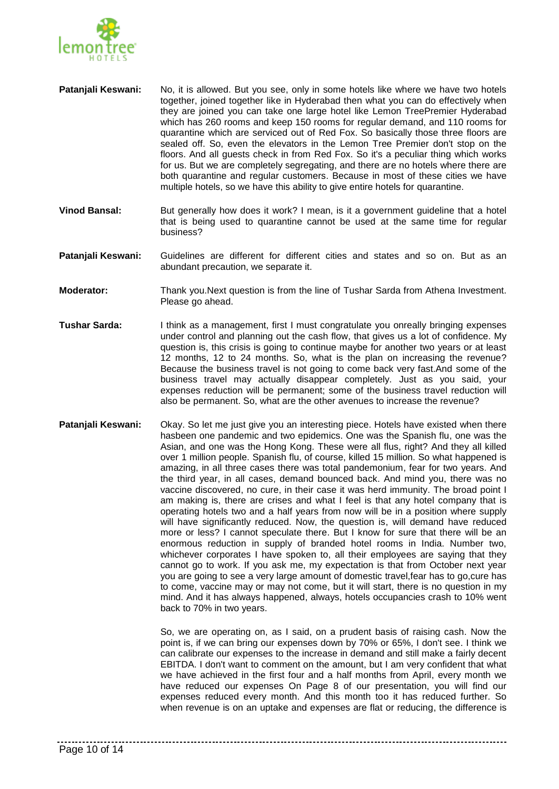

- **Patanjali Keswani:** No, it is allowed. But you see, only in some hotels like where we have two hotels together, joined together like in Hyderabad then what you can do effectively when they are joined you can take one large hotel like Lemon TreePremier Hyderabad which has 260 rooms and keep 150 rooms for regular demand, and 110 rooms for quarantine which are serviced out of Red Fox. So basically those three floors are sealed off. So, even the elevators in the Lemon Tree Premier don't stop on the floors. And all guests check in from Red Fox. So it's a peculiar thing which works for us. But we are completely segregating, and there are no hotels where there are both quarantine and regular customers. Because in most of these cities we have multiple hotels, so we have this ability to give entire hotels for quarantine.
- **Vinod Bansal:** But generally how does it work? I mean, is it a government guideline that a hotel that is being used to quarantine cannot be used at the same time for regular business?
- **Patanjali Keswani:** Guidelines are different for different cities and states and so on. But as an abundant precaution, we separate it.
- **Moderator:** Thank you.Next question is from the line of Tushar Sarda from Athena Investment. Please go ahead.
- **Tushar Sarda:** I think as a management, first I must congratulate you onreally bringing expenses under control and planning out the cash flow, that gives us a lot of confidence. My question is, this crisis is going to continue maybe for another two years or at least 12 months, 12 to 24 months. So, what is the plan on increasing the revenue? Because the business travel is not going to come back very fast.And some of the business travel may actually disappear completely. Just as you said, your expenses reduction will be permanent; some of the business travel reduction will also be permanent. So, what are the other avenues to increase the revenue?
- **Patanjali Keswani:** Okay. So let me just give you an interesting piece. Hotels have existed when there hasbeen one pandemic and two epidemics. One was the Spanish flu, one was the Asian, and one was the Hong Kong. These were all flus, right? And they all killed over 1 million people. Spanish flu, of course, killed 15 million. So what happened is amazing, in all three cases there was total pandemonium, fear for two years. And the third year, in all cases, demand bounced back. And mind you, there was no vaccine discovered, no cure, in their case it was herd immunity. The broad point I am making is, there are crises and what I feel is that any hotel company that is operating hotels two and a half years from now will be in a position where supply will have significantly reduced. Now, the question is, will demand have reduced more or less? I cannot speculate there. But I know for sure that there will be an enormous reduction in supply of branded hotel rooms in India. Number two, whichever corporates I have spoken to, all their employees are saying that they cannot go to work. If you ask me, my expectation is that from October next year you are going to see a very large amount of domestic travel,fear has to go,cure has to come, vaccine may or may not come, but it will start, there is no question in my mind. And it has always happened, always, hotels occupancies crash to 10% went back to 70% in two years.

So, we are operating on, as I said, on a prudent basis of raising cash. Now the point is, if we can bring our expenses down by 70% or 65%, I don't see. I think we can calibrate our expenses to the increase in demand and still make a fairly decent EBITDA. I don't want to comment on the amount, but I am very confident that what we have achieved in the first four and a half months from April, every month we have reduced our expenses On Page 8 of our presentation, you will find our expenses reduced every month. And this month too it has reduced further. So when revenue is on an uptake and expenses are flat or reducing, the difference is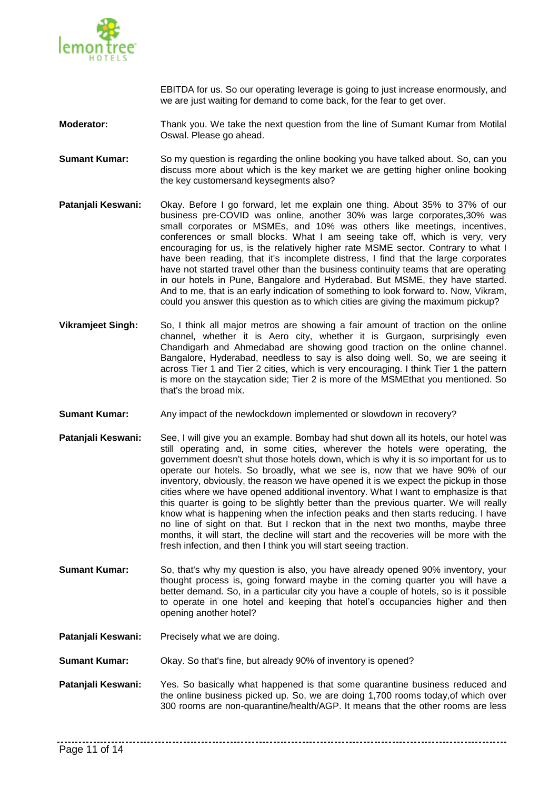

EBITDA for us. So our operating leverage is going to just increase enormously, and we are just waiting for demand to come back, for the fear to get over.

**Moderator:** Thank you. We take the next question from the line of Sumant Kumar from Motilal Oswal. Please go ahead.

**Sumant Kumar:** So my question is regarding the online booking you have talked about. So, can you discuss more about which is the key market we are getting higher online booking the key customersand keysegments also?

- **Patanjali Keswani:** Okay. Before I go forward, let me explain one thing. About 35% to 37% of our business pre-COVID was online, another 30% was large corporates,30% was small corporates or MSMEs, and 10% was others like meetings, incentives, conferences or small blocks. What I am seeing take off, which is very, very encouraging for us, is the relatively higher rate MSME sector. Contrary to what I have been reading, that it's incomplete distress, I find that the large corporates have not started travel other than the business continuity teams that are operating in our hotels in Pune, Bangalore and Hyderabad. But MSME, they have started. And to me, that is an early indication of something to look forward to. Now, Vikram, could you answer this question as to which cities are giving the maximum pickup?
- **Vikramjeet Singh:** So, I think all major metros are showing a fair amount of traction on the online channel, whether it is Aero city, whether it is Gurgaon, surprisingly even Chandigarh and Ahmedabad are showing good traction on the online channel. Bangalore, Hyderabad, needless to say is also doing well. So, we are seeing it across Tier 1 and Tier 2 cities, which is very encouraging. I think Tier 1 the pattern is more on the staycation side; Tier 2 is more of the MSMEthat you mentioned. So that's the broad mix.
- **Sumant Kumar:** Any impact of the newlockdown implemented or slowdown in recovery?
- **Patanjali Keswani:** See, I will give you an example. Bombay had shut down all its hotels, our hotel was still operating and, in some cities, wherever the hotels were operating, the government doesn't shut those hotels down, which is why it is so important for us to operate our hotels. So broadly, what we see is, now that we have 90% of our inventory, obviously, the reason we have opened it is we expect the pickup in those cities where we have opened additional inventory. What I want to emphasize is that this quarter is going to be slightly better than the previous quarter. We will really know what is happening when the infection peaks and then starts reducing. I have no line of sight on that. But I reckon that in the next two months, maybe three months, it will start, the decline will start and the recoveries will be more with the fresh infection, and then I think you will start seeing traction.
- **Sumant Kumar:** So, that's why my question is also, you have already opened 90% inventory, your thought process is, going forward maybe in the coming quarter you will have a better demand. So, in a particular city you have a couple of hotels, so is it possible to operate in one hotel and keeping that hotel's occupancies higher and then opening another hotel?
- **Patanjali Keswani:** Precisely what we are doing.
- **Sumant Kumar:** Okay. So that's fine, but already 90% of inventory is opened?
- **Patanjali Keswani:** Yes. So basically what happened is that some quarantine business reduced and the online business picked up. So, we are doing 1,700 rooms today,of which over 300 rooms are non-quarantine/health/AGP. It means that the other rooms are less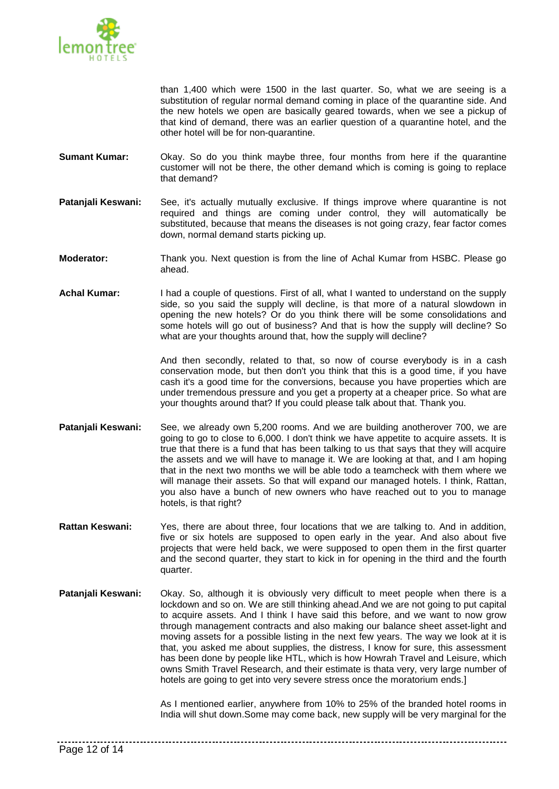

than 1,400 which were 1500 in the last quarter. So, what we are seeing is a substitution of regular normal demand coming in place of the quarantine side. And the new hotels we open are basically geared towards, when we see a pickup of that kind of demand, there was an earlier question of a quarantine hotel, and the other hotel will be for non-quarantine.

- **Sumant Kumar:** Okay. So do you think maybe three, four months from here if the quarantine customer will not be there, the other demand which is coming is going to replace that demand?
- **Pataniali Keswani:** See, it's actually mutually exclusive. If things improve where quarantine is not required and things are coming under control, they will automatically be substituted, because that means the diseases is not going crazy, fear factor comes down, normal demand starts picking up.
- **Moderator:** Thank you. Next question is from the line of Achal Kumar from HSBC. Please go ahead.
- **Achal Kumar:** I had a couple of questions. First of all, what I wanted to understand on the supply side, so you said the supply will decline, is that more of a natural slowdown in opening the new hotels? Or do you think there will be some consolidations and some hotels will go out of business? And that is how the supply will decline? So what are your thoughts around that, how the supply will decline?

And then secondly, related to that, so now of course everybody is in a cash conservation mode, but then don't you think that this is a good time, if you have cash it's a good time for the conversions, because you have properties which are under tremendous pressure and you get a property at a cheaper price. So what are your thoughts around that? If you could please talk about that. Thank you.

- **Patanjali Keswani:** See, we already own 5,200 rooms. And we are building anotherover 700, we are going to go to close to 6,000. I don't think we have appetite to acquire assets. It is true that there is a fund that has been talking to us that says that they will acquire the assets and we will have to manage it. We are looking at that, and I am hoping that in the next two months we will be able todo a teamcheck with them where we will manage their assets. So that will expand our managed hotels. I think, Rattan, you also have a bunch of new owners who have reached out to you to manage hotels, is that right?
- **Rattan Keswani:** Yes, there are about three, four locations that we are talking to. And in addition, five or six hotels are supposed to open early in the year. And also about five projects that were held back, we were supposed to open them in the first quarter and the second quarter, they start to kick in for opening in the third and the fourth quarter.
- **Patanjali Keswani:** Okay. So, although it is obviously very difficult to meet people when there is a lockdown and so on. We are still thinking ahead.And we are not going to put capital to acquire assets. And I think I have said this before, and we want to now grow through management contracts and also making our balance sheet asset-light and moving assets for a possible listing in the next few years. The way we look at it is that, you asked me about supplies, the distress, I know for sure, this assessment has been done by people like HTL, which is how Howrah Travel and Leisure, which owns Smith Travel Research, and their estimate is thata very, very large number of hotels are going to get into very severe stress once the moratorium ends.]

As I mentioned earlier, anywhere from 10% to 25% of the branded hotel rooms in India will shut down.Some may come back, new supply will be very marginal for the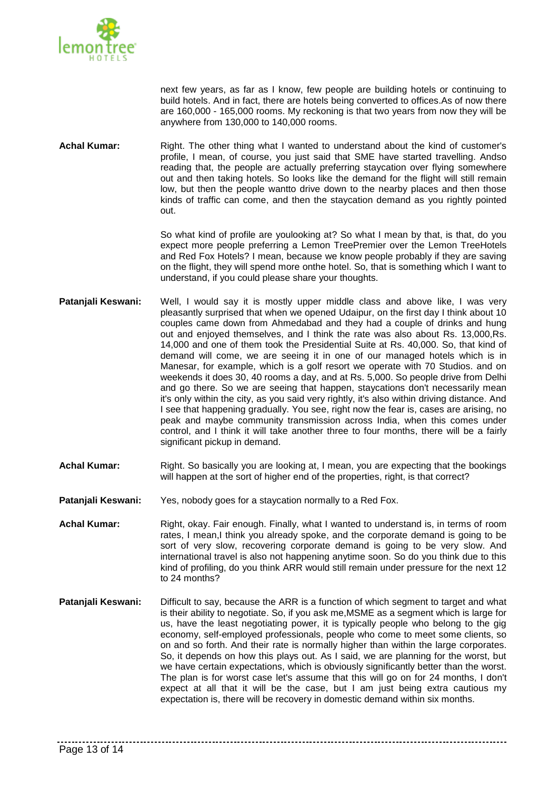

next few years, as far as I know, few people are building hotels or continuing to build hotels. And in fact, there are hotels being converted to offices.As of now there are 160,000 - 165,000 rooms. My reckoning is that two years from now they will be anywhere from 130,000 to 140,000 rooms.

**Achal Kumar:** Right. The other thing what I wanted to understand about the kind of customer's profile, I mean, of course, you just said that SME have started travelling. Andso reading that, the people are actually preferring staycation over flying somewhere out and then taking hotels. So looks like the demand for the flight will still remain low, but then the people wantto drive down to the nearby places and then those kinds of traffic can come, and then the staycation demand as you rightly pointed out.

> So what kind of profile are youlooking at? So what I mean by that, is that, do you expect more people preferring a Lemon TreePremier over the Lemon TreeHotels and Red Fox Hotels? I mean, because we know people probably if they are saving on the flight, they will spend more onthe hotel. So, that is something which I want to understand, if you could please share your thoughts.

- **Patanjali Keswani:** Well, I would say it is mostly upper middle class and above like, I was very pleasantly surprised that when we opened Udaipur, on the first day I think about 10 couples came down from Ahmedabad and they had a couple of drinks and hung out and enjoyed themselves, and I think the rate was also about Rs. 13,000,Rs. 14,000 and one of them took the Presidential Suite at Rs. 40,000. So, that kind of demand will come, we are seeing it in one of our managed hotels which is in Manesar, for example, which is a golf resort we operate with 70 Studios. and on weekends it does 30, 40 rooms a day, and at Rs. 5,000. So people drive from Delhi and go there. So we are seeing that happen, staycations don't necessarily mean it's only within the city, as you said very rightly, it's also within driving distance. And I see that happening gradually. You see, right now the fear is, cases are arising, no peak and maybe community transmission across India, when this comes under control, and I think it will take another three to four months, there will be a fairly significant pickup in demand.
- **Achal Kumar:** Right. So basically you are looking at, I mean, you are expecting that the bookings will happen at the sort of higher end of the properties, right, is that correct?
- **Patanjali Keswani:** Yes, nobody goes for a staycation normally to a Red Fox.
- **Achal Kumar:** Right, okay. Fair enough. Finally, what I wanted to understand is, in terms of room rates, I mean,I think you already spoke, and the corporate demand is going to be sort of very slow, recovering corporate demand is going to be very slow. And international travel is also not happening anytime soon. So do you think due to this kind of profiling, do you think ARR would still remain under pressure for the next 12 to 24 months?
- **Patanjali Keswani:** Difficult to say, because the ARR is a function of which segment to target and what is their ability to negotiate. So, if you ask me,MSME as a segment which is large for us, have the least negotiating power, it is typically people who belong to the gig economy, self-employed professionals, people who come to meet some clients, so on and so forth. And their rate is normally higher than within the large corporates. So, it depends on how this plays out. As I said, we are planning for the worst, but we have certain expectations, which is obviously significantly better than the worst. The plan is for worst case let's assume that this will go on for 24 months, I don't expect at all that it will be the case, but I am just being extra cautious my expectation is, there will be recovery in domestic demand within six months.